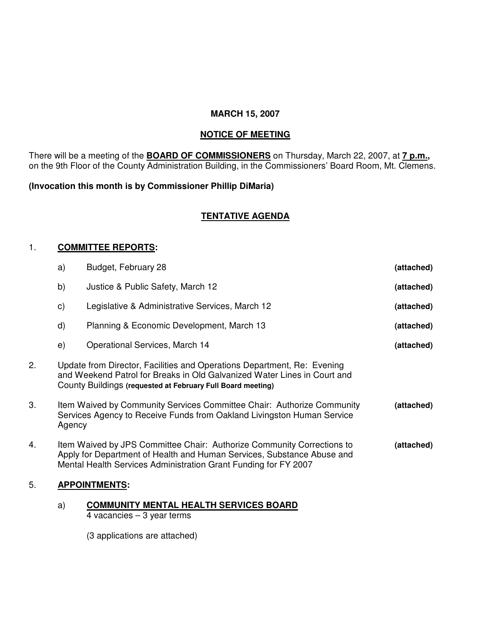## **MARCH 15, 2007**

# **NOTICE OF MEETING**

There will be a meeting of the **BOARD OF COMMISSIONERS** on Thursday, March 22, 2007, at **7 p.m.,** on the 9th Floor of the County Administration Building, in the Commissioners' Board Room, Mt. Clemens.

## **(Invocation this month is by Commissioner Phillip DiMaria)**

# **TENTATIVE AGENDA**

## 1. **COMMITTEE REPORTS:**

| b)<br>Justice & Public Safety, March 12<br>(attached)<br>Legislative & Administrative Services, March 12<br>c)<br>(attached)<br>d)<br>Planning & Economic Development, March 13<br>(attached)<br>Operational Services, March 14<br>e)<br>(attached)<br>2.<br>Update from Director, Facilities and Operations Department, Re: Evening<br>and Weekend Patrol for Breaks in Old Galvanized Water Lines in Court and<br>County Buildings (requested at February Full Board meeting)<br>3.<br>Item Waived by Community Services Committee Chair: Authorize Community<br>(attached)<br>Services Agency to Receive Funds from Oakland Livingston Human Service<br>Agency<br>Item Waived by JPS Committee Chair: Authorize Community Corrections to<br>(attached)<br>4.<br>Apply for Department of Health and Human Services, Substance Abuse and<br>Mental Health Services Administration Grant Funding for FY 2007<br>5.<br><b>APPOINTMENTS:</b> | a) | Budget, February 28 | (attached) |
|--------------------------------------------------------------------------------------------------------------------------------------------------------------------------------------------------------------------------------------------------------------------------------------------------------------------------------------------------------------------------------------------------------------------------------------------------------------------------------------------------------------------------------------------------------------------------------------------------------------------------------------------------------------------------------------------------------------------------------------------------------------------------------------------------------------------------------------------------------------------------------------------------------------------------------------------|----|---------------------|------------|
|                                                                                                                                                                                                                                                                                                                                                                                                                                                                                                                                                                                                                                                                                                                                                                                                                                                                                                                                            |    |                     |            |
|                                                                                                                                                                                                                                                                                                                                                                                                                                                                                                                                                                                                                                                                                                                                                                                                                                                                                                                                            |    |                     |            |
|                                                                                                                                                                                                                                                                                                                                                                                                                                                                                                                                                                                                                                                                                                                                                                                                                                                                                                                                            |    |                     |            |
|                                                                                                                                                                                                                                                                                                                                                                                                                                                                                                                                                                                                                                                                                                                                                                                                                                                                                                                                            |    |                     |            |
|                                                                                                                                                                                                                                                                                                                                                                                                                                                                                                                                                                                                                                                                                                                                                                                                                                                                                                                                            |    |                     |            |
|                                                                                                                                                                                                                                                                                                                                                                                                                                                                                                                                                                                                                                                                                                                                                                                                                                                                                                                                            |    |                     |            |
|                                                                                                                                                                                                                                                                                                                                                                                                                                                                                                                                                                                                                                                                                                                                                                                                                                                                                                                                            |    |                     |            |
|                                                                                                                                                                                                                                                                                                                                                                                                                                                                                                                                                                                                                                                                                                                                                                                                                                                                                                                                            |    |                     |            |

#### a) **COMMUNITY MENTAL HEALTH SERVICES BOARD** 4 vacancies – 3 year terms

(3 applications are attached)